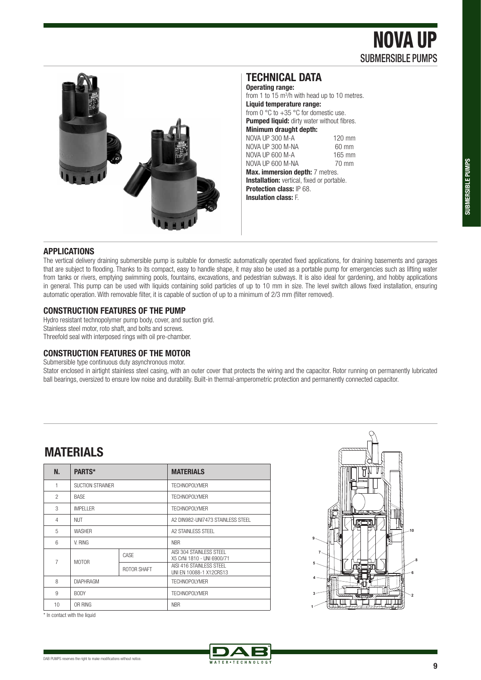NOVA UP SUBMERSIBLE PUMPS



### **TECHNICAL DATA**

**Operating range:**  from 1 to  $15 \text{ m}^3$ /h with head up to 10 metres. **Liquid temperature range:**  from 0  $\degree$ C to +35  $\degree$ C for domestic use. **Pumped liquid:** dirty water without fibres. **Minimum draught depth:**  NOVA UP 300 M-A<br>NOVA UP 300 M-NA 60 mm NOVA UP 300 M-NA 60 mm<br>NOVA UP 600 M-A 165 mm NOVA UP 600 M-A<br>NOVA UP 600 M-NA 70 mm NOVA UP 600 M-NA **Max. immersion depth:** 7 metres. **Installation:** vertical, fixed or portable.

**Protection class:** IP 68. **Insulation class:** F.

#### **APPLICATIONS**

The vertical delivery draining submersible pump is suitable for domestic automatically operated fixed applications, for draining basements and garages that are subject to flooding. Thanks to its compact, easy to handle shape, it may also be used as a portable pump for emergencies such as lifting water from tanks or rivers, emptying swimming pools, fountains, excavations, and pedestrian subways. It is also ideal for gardening, and hobby applications in general. This pump can be used with liquids containing solid particles of up to 10 mm in size. The level switch allows fixed installation, ensuring automatic operation. With removable filter, it is capable of suction of up to a minimum of 2/3 mm (filter removed).

#### **CONSTRUCTION FEATURES OF THE PUMP**

Hydro resistant technopolymer pump body, cover, and suction grid. Stainless steel motor, roto shaft, and bolts and screws. Threefold seal with interposed rings with oil pre-chamber.

#### **CONSTRUCTION FEATURES OF THE MOTOR**

Submersible type continuous duty asynchronous motor.

Stator enclosed in airtight stainless steel casing, with an outer cover that protects the wiring and the capacitor. Rotor running on permanently lubricated ball bearings, oversized to ensure low noise and durability. Built-in thermal-amperometric protection and permanently connected capacitor.

## **MATERIALS**

| N.             | PARTS*                  |             | <b>MATERIALS</b>                                       |  |  |  |  |
|----------------|-------------------------|-------------|--------------------------------------------------------|--|--|--|--|
| 1              | <b>SUCTION STRAINER</b> |             | <b>TECHNOPOLYMER</b>                                   |  |  |  |  |
| $\mathfrak{p}$ | <b>BASF</b>             |             | <b>TECHNOPOLYMER</b>                                   |  |  |  |  |
| 3              | <b>IMPELLER</b>         |             | <b>TECHNOPOLYMER</b>                                   |  |  |  |  |
| 4              | <b>NUT</b>              |             | A2 DIN982-UNI7473 STAINLESS STEEL                      |  |  |  |  |
| 5              | <b>WASHER</b>           |             | A2 STAINLESS STEEL                                     |  |  |  |  |
| 6              | V. RING                 |             | <b>NBR</b>                                             |  |  |  |  |
| $\overline{7}$ | <b>MOTOR</b>            | CASF        | AISI 304 STAINLESS STEEL<br>X5 CrNi 1810 - UNI 6900/71 |  |  |  |  |
|                |                         | ROTOR SHAFT | AISI 416 STAINLESS STEEL<br>UNI EN 10088-1 X12CRS13    |  |  |  |  |
| 8              | <b>DIAPHRAGM</b>        |             | <b>TECHNOPOLYMER</b>                                   |  |  |  |  |
| 9              | <b>BODY</b>             |             | <b>TECHNOPOLYMER</b>                                   |  |  |  |  |
| 10             | OR RING                 |             | <b>NBR</b>                                             |  |  |  |  |



\* In contact with the liquid

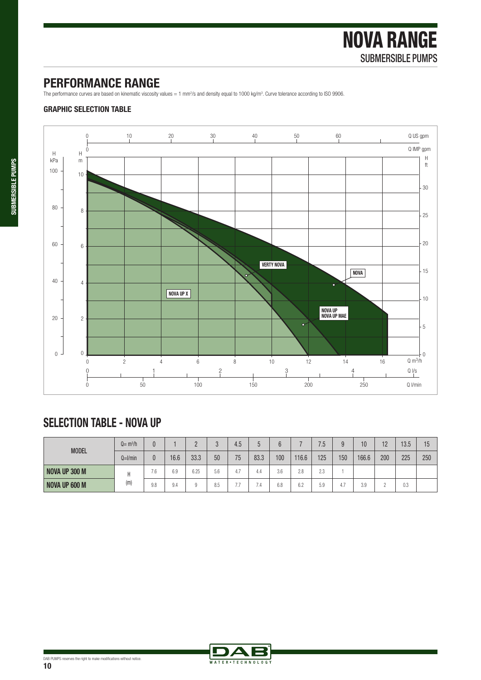# **PERFORMANCE RANGE**

The performance curves are based on kinematic viscosity values = 1 mm<sup>2</sup>/s and density equal to 1000 kg/m<sup>3</sup>. Curve tolerance according to ISO 9906.

### **GRAPHIC SELECTION TABLE**



# **SELECTION TABLE - NOVA UP**

| <b>MODEL</b>         | $Q = m^3/h$  |     |      |      |     | 4.5         |      |     |       | 7.5       | Q   | 10    | 12  | 13.5 | 15  |
|----------------------|--------------|-----|------|------|-----|-------------|------|-----|-------|-----------|-----|-------|-----|------|-----|
|                      | $Q=$ $l/min$ | 0   | 16.6 | 33.3 | 50  | 75          | 83.3 | 100 | 116.6 | 125       | 150 | 166.6 | 200 | 225  | 250 |
| <b>NOVA UP 300 M</b> | (m)          | 7.6 | 6.9  | 6.25 | 5.6 | . .<br>-4., | 4.4  | 3.6 | 2.8   | りっ<br>2.0 |     |       |     |      |     |
| <b>NOVA UP 600 M</b> |              | 9.8 | 9.4  |      | 8.5 | $- -$       | -    | 6.8 | 6.2   | 5.9       | 4.1 | 3.9   |     | 0.3  |     |